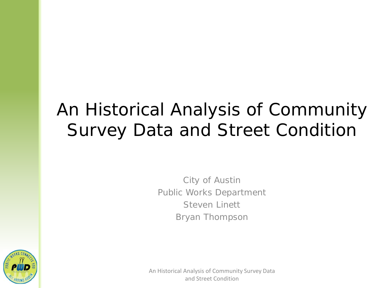# An Historical Analysis of Community Survey Data and Street Condition

City of Austin Public Works Department Steven Linett Bryan Thompson

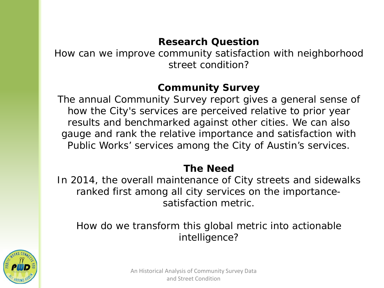#### **Research Question**

How can we improve community satisfaction with neighborhood street condition?

#### **Community Survey**

The annual Community Survey report gives a general sense of how the City's services are perceived relative to prior year results and benchmarked against other cities. We can also gauge and rank the relative importance and satisfaction with Public Works' services among the City of Austin's services.

#### **The Need**

In 2014, the overall maintenance of City streets and sidewalks ranked first among all city services on the importancesatisfaction metric.

How do we transform this global metric into actionable intelligence?

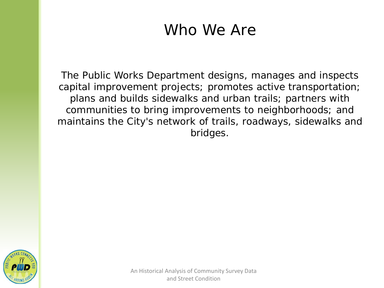## Who We Are

The Public Works Department designs, manages and inspects capital improvement projects; promotes active transportation; plans and builds sidewalks and urban trails; partners with communities to bring improvements to neighborhoods; and maintains the City's network of trails, roadways, sidewalks and bridges.

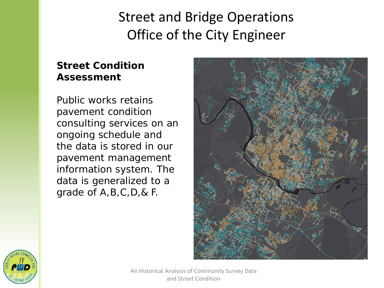### Street and Bridge Operations Office of the City Engineer

#### **Street Condition Assessment**

Public works retains pavement condition consulting services on an ongoing schedule and the data is stored in our pavement management information system. The data is generalized to a grade of A,B,C,D,& F.



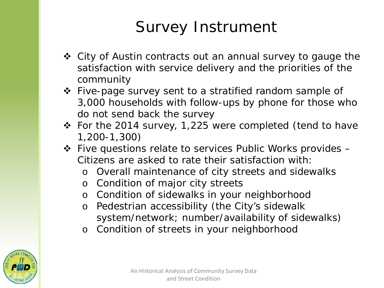## Survey Instrument

- ❖ City of Austin contracts out an annual survey to gauge the satisfaction with service delivery and the priorities of the community
- Five-page survey sent to a stratified random sample of 3,000 households with follow-ups by phone for those who do not send back the survey
- For the 2014 survey, 1,225 were completed (tend to have 1,200-1,300)
- Five questions relate to services Public Works provides Citizens are asked to rate their satisfaction with:
	- o Overall maintenance of city streets and sidewalks
	- o Condition of major city streets
	- o Condition of sidewalks in your neighborhood
	- o Pedestrian accessibility (the City's sidewalk system/network; number/availability of sidewalks)
	- o Condition of streets in your neighborhood

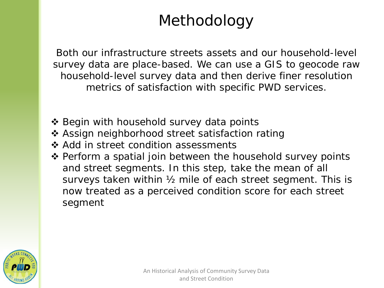## Methodology

Both our infrastructure streets assets and our household-level survey data are place-based. We can use a GIS to geocode raw household-level survey data and then derive finer resolution metrics of satisfaction with specific PWD services.

- ❖ Begin with household survey data points
- Assign neighborhood street satisfaction rating
- ❖ Add in street condition assessments
- ❖ Perform a spatial join between the household survey points and street segments. In this step, take the mean of all surveys taken within ½ mile of each street segment. This is now treated as a perceived condition score for each street segment

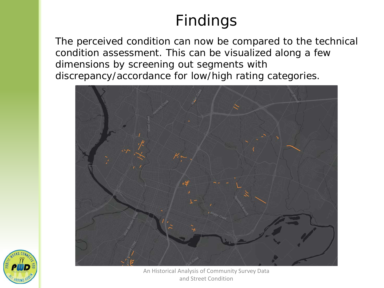## Findings

The perceived condition can now be compared to the technical condition assessment. This can be visualized along a few dimensions by screening out segments with discrepancy/accordance for low/high rating categories.



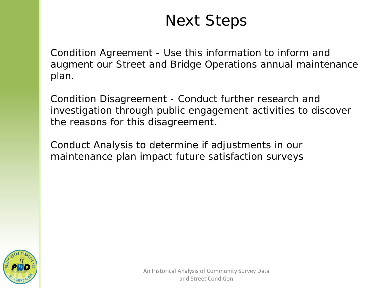## Next Steps

Condition Agreement - Use this information to inform and augment our Street and Bridge Operations annual maintenance plan.

Condition Disagreement - Conduct further research and investigation through public engagement activities to discover the reasons for this disagreement.

Conduct Analysis to determine if adjustments in our maintenance plan impact future satisfaction surveys